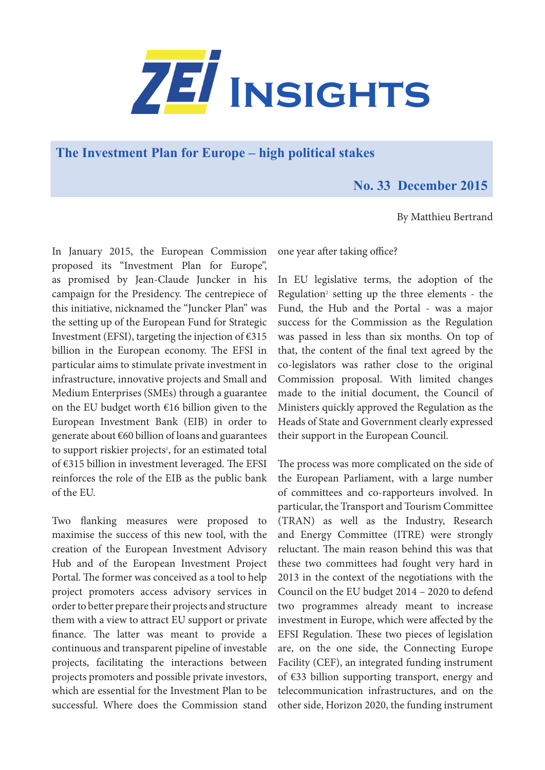

**The Investment Plan for Europe – high political stakes** 

## **No. 33 December 2015**

By Matthieu Bertrand

In January 2015, the European Commission proposed its "Investment Plan for Europe", as promised by Jean-Claude Juncker in his campaign for the Presidency. The centrepiece of this initiative, nicknamed the "Juncker Plan" was the setting up of the European Fund for Strategic Investment (EFSI), targeting the injection of  $\epsilon$ 315 billion in the European economy. The EFSI in particular aims to stimulate private investment in infrastructure, innovative projects and Small and Medium Enterprises (SMEs) through a guarantee on the EU budget worth €16 billion given to the European Investment Bank (EIB) in order to generate about €60 billion of loans and guarantees to support riskier projects<sup>1</sup>, for an estimated total of €315 billion in investment leveraged. The EFSI reinforces the role of the EIB as the public bank of the EU.

Two flanking measures were proposed to maximise the success of this new tool, with the creation of the European Investment Advisory Hub and of the European Investment Project Portal. The former was conceived as a tool to help project promoters access advisory services in order to better prepare their projects and structure them with a view to attract EU support or private finance. The latter was meant to provide a continuous and transparent pipeline of investable projects, facilitating the interactions between projects promoters and possible private investors, which are essential for the Investment Plan to be successful. Where does the Commission stand

one year after taking office?

In EU legislative terms, the adoption of the Regulation<sup>2</sup> setting up the three elements - the Fund, the Hub and the Portal - was a major success for the Commission as the Regulation was passed in less than six months. On top of that, the content of the final text agreed by the co-legislators was rather close to the original Commission proposal. With limited changes made to the initial document, the Council of Ministers quickly approved the Regulation as the Heads of State and Government clearly expressed their support in the European Council.

The process was more complicated on the side of the European Parliament, with a large number of committees and co-rapporteurs involved. In particular, the Transport and Tourism Committee (TRAN) as well as the Industry, Research and Energy Committee (ITRE) were strongly reluctant. The main reason behind this was that these two committees had fought very hard in 2013 in the context of the negotiations with the Council on the EU budget 2014 – 2020 to defend two programmes already meant to increase investment in Europe, which were affected by the EFSI Regulation. These two pieces of legislation are, on the one side, the Connecting Europe Facility (CEF), an integrated funding instrument of €33 billion supporting transport, energy and telecommunication infrastructures, and on the other side, Horizon 2020, the funding instrument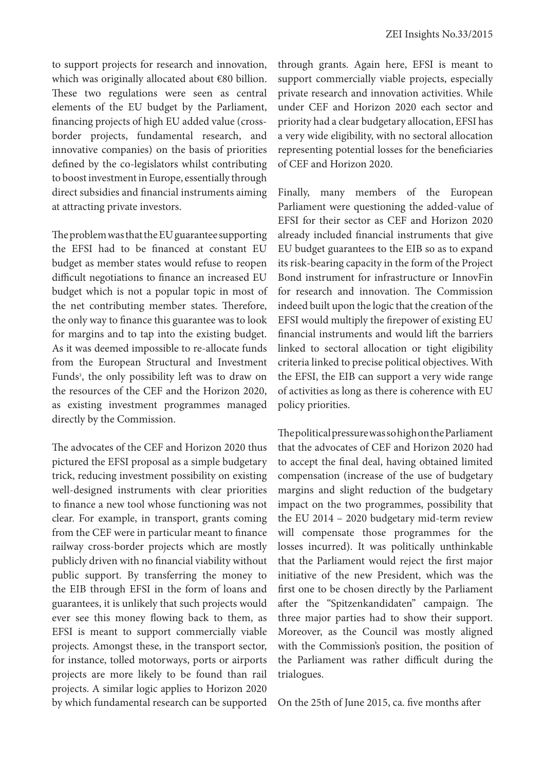to support projects for research and innovation, which was originally allocated about €80 billion. These two regulations were seen as central elements of the EU budget by the Parliament, financing projects of high EU added value (crossborder projects, fundamental research, and innovative companies) on the basis of priorities defined by the co-legislators whilst contributing to boost investment in Europe, essentially through direct subsidies and financial instruments aiming at attracting private investors.

The problem was that the EU guarantee supporting the EFSI had to be financed at constant EU budget as member states would refuse to reopen difficult negotiations to finance an increased EU budget which is not a popular topic in most of the net contributing member states. Therefore, the only way to finance this guarantee was to look for margins and to tap into the existing budget. As it was deemed impossible to re-allocate funds from the European Structural and Investment Funds<sup>3</sup>, the only possibility left was to draw on the resources of the CEF and the Horizon 2020, as existing investment programmes managed directly by the Commission.

The advocates of the CEF and Horizon 2020 thus pictured the EFSI proposal as a simple budgetary trick, reducing investment possibility on existing well-designed instruments with clear priorities to finance a new tool whose functioning was not clear. For example, in transport, grants coming from the CEF were in particular meant to finance railway cross-border projects which are mostly publicly driven with no financial viability without public support. By transferring the money to the EIB through EFSI in the form of loans and guarantees, it is unlikely that such projects would ever see this money flowing back to them, as EFSI is meant to support commercially viable projects. Amongst these, in the transport sector, for instance, tolled motorways, ports or airports projects are more likely to be found than rail projects. A similar logic applies to Horizon 2020 by which fundamental research can be supported through grants. Again here, EFSI is meant to support commercially viable projects, especially private research and innovation activities. While under CEF and Horizon 2020 each sector and priority had a clear budgetary allocation, EFSI has a very wide eligibility, with no sectoral allocation representing potential losses for the beneficiaries of CEF and Horizon 2020.

Finally, many members of the European Parliament were questioning the added-value of EFSI for their sector as CEF and Horizon 2020 already included financial instruments that give EU budget guarantees to the EIB so as to expand its risk-bearing capacity in the form of the Project Bond instrument for infrastructure or InnovFin for research and innovation. The Commission indeed built upon the logic that the creation of the EFSI would multiply the firepower of existing EU financial instruments and would lift the barriers linked to sectoral allocation or tight eligibility criteria linked to precise political objectives. With the EFSI, the EIB can support a very wide range of activities as long as there is coherence with EU policy priorities.

The political pressure was so high on the Parliament that the advocates of CEF and Horizon 2020 had to accept the final deal, having obtained limited compensation (increase of the use of budgetary margins and slight reduction of the budgetary impact on the two programmes, possibility that the EU 2014 – 2020 budgetary mid-term review will compensate those programmes for the losses incurred). It was politically unthinkable that the Parliament would reject the first major initiative of the new President, which was the first one to be chosen directly by the Parliament after the "Spitzenkandidaten" campaign. The three major parties had to show their support. Moreover, as the Council was mostly aligned with the Commission's position, the position of the Parliament was rather difficult during the trialogues.

On the 25th of June 2015, ca. five months after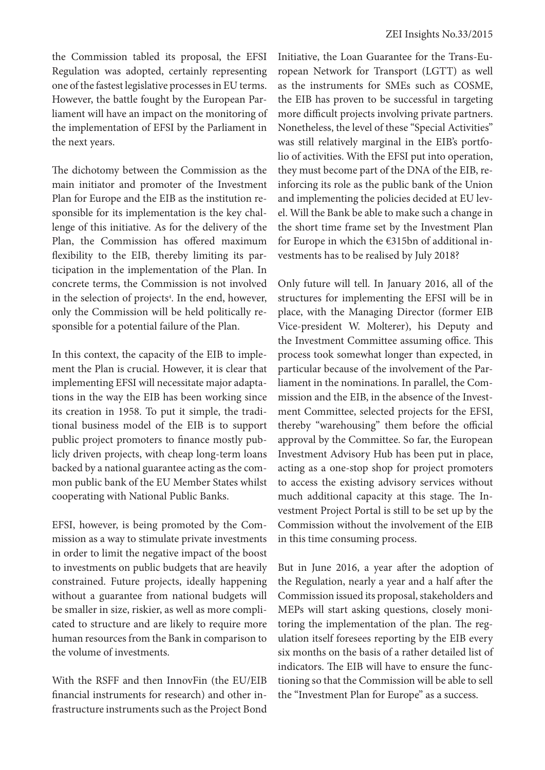the Commission tabled its proposal, the EFSI Regulation was adopted, certainly representing one of the fastest legislative processes in EU terms. However, the battle fought by the European Parliament will have an impact on the monitoring of the implementation of EFSI by the Parliament in the next years.

The dichotomy between the Commission as the main initiator and promoter of the Investment Plan for Europe and the EIB as the institution responsible for its implementation is the key challenge of this initiative. As for the delivery of the Plan, the Commission has offered maximum flexibility to the EIB, thereby limiting its participation in the implementation of the Plan. In concrete terms, the Commission is not involved in the selection of projects4 . In the end, however, only the Commission will be held politically responsible for a potential failure of the Plan.

In this context, the capacity of the EIB to implement the Plan is crucial. However, it is clear that implementing EFSI will necessitate major adaptations in the way the EIB has been working since its creation in 1958. To put it simple, the traditional business model of the EIB is to support public project promoters to finance mostly publicly driven projects, with cheap long-term loans backed by a national guarantee acting as the common public bank of the EU Member States whilst cooperating with National Public Banks.

EFSI, however, is being promoted by the Commission as a way to stimulate private investments in order to limit the negative impact of the boost to investments on public budgets that are heavily constrained. Future projects, ideally happening without a guarantee from national budgets will be smaller in size, riskier, as well as more complicated to structure and are likely to require more human resources from the Bank in comparison to the volume of investments.

With the RSFF and then InnovFin (the EU/EIB financial instruments for research) and other infrastructure instruments such as the Project Bond Initiative, the Loan Guarantee for the Trans-European Network for Transport (LGTT) as well as the instruments for SMEs such as COSME, the EIB has proven to be successful in targeting more difficult projects involving private partners. Nonetheless, the level of these "Special Activities" was still relatively marginal in the EIB's portfolio of activities. With the EFSI put into operation, they must become part of the DNA of the EIB, reinforcing its role as the public bank of the Union and implementing the policies decided at EU level. Will the Bank be able to make such a change in the short time frame set by the Investment Plan for Europe in which the €315bn of additional investments has to be realised by July 2018?

Only future will tell. In January 2016, all of the structures for implementing the EFSI will be in place, with the Managing Director (former EIB Vice-president W. Molterer), his Deputy and the Investment Committee assuming office. This process took somewhat longer than expected, in particular because of the involvement of the Parliament in the nominations. In parallel, the Commission and the EIB, in the absence of the Investment Committee, selected projects for the EFSI, thereby "warehousing" them before the official approval by the Committee. So far, the European Investment Advisory Hub has been put in place, acting as a one-stop shop for project promoters to access the existing advisory services without much additional capacity at this stage. The Investment Project Portal is still to be set up by the Commission without the involvement of the EIB in this time consuming process.

But in June 2016, a year after the adoption of the Regulation, nearly a year and a half after the Commission issued its proposal, stakeholders and MEPs will start asking questions, closely monitoring the implementation of the plan. The regulation itself foresees reporting by the EIB every six months on the basis of a rather detailed list of indicators. The EIB will have to ensure the functioning so that the Commission will be able to sell the "Investment Plan for Europe" as a success.